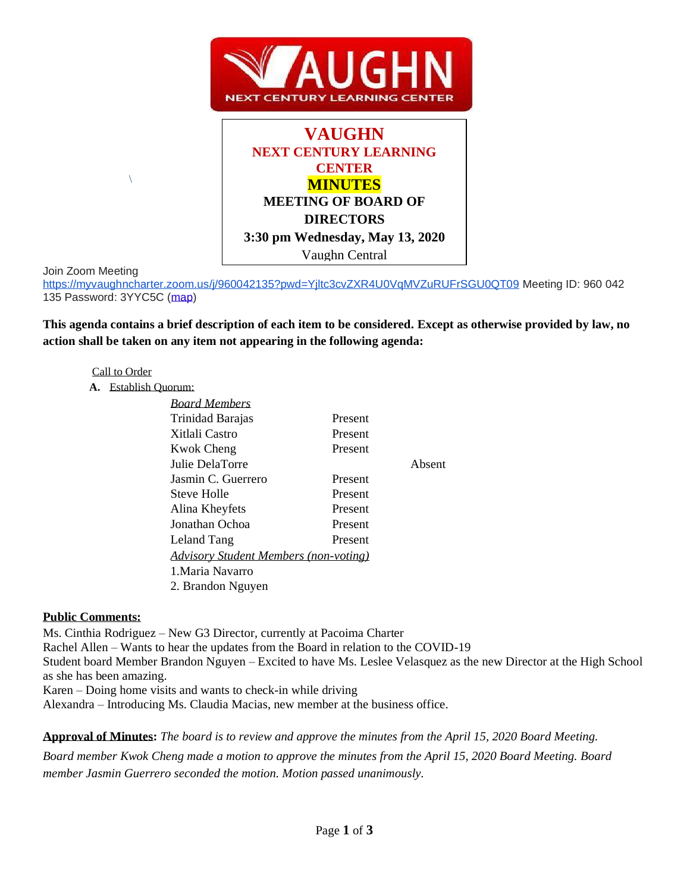



Join Zoom Meeting

Join Zoom Meeting<br><u><https://myvaughncharter.zoom.us/j/960042135?pwd=Yjltc3cvZXR4U0VqMVZuRUFrSGU0QT09></u> Meeting ID: 960 042 135 Password: 3YYC5C [\(map\)](https://www.google.com/maps/search/Join+Zoom+Meeting+https:%2F%2Fmyvaughncharter.zoom.us%2Fj%2F960042135%3Fpwd%3DYjltc3cvZXR4U0VqMVZuRUFrSGU0QT09++Meeting+ID:+960+042+135+Password:+3YYC5C?hl=en)

**This agenda contains a brief description of each item to be considered. Except as otherwise provided by law, no action shall be taken on any item not appearing in the following agenda:**

#### Call to Order

\

**A.** Establish Quorum:

| <b>Board Members</b>                         |         |        |
|----------------------------------------------|---------|--------|
| Trinidad Barajas                             | Present |        |
| Xitlali Castro                               | Present |        |
| <b>Kwok Cheng</b>                            | Present |        |
| Julie DelaTorre                              |         | Absent |
| Jasmin C. Guerrero                           | Present |        |
| Steve Holle                                  | Present |        |
| Alina Kheyfets                               | Present |        |
| Jonathan Ochoa                               | Present |        |
| Leland Tang                                  | Present |        |
| <b>Advisory Student Members (non-voting)</b> |         |        |
| 1 Maria Navarro                              |         |        |
| 2. Brandon Nguyen                            |         |        |
|                                              |         |        |

### **Public Comments:**

Ms. Cinthia Rodriguez – New G3 Director, currently at Pacoima Charter Rachel Allen – Wants to hear the updates from the Board in relation to the COVID-19 Student board Member Brandon Nguyen – Excited to have Ms. Leslee Velasquez as the new Director at the High School as she has been amazing.

Karen – Doing home visits and wants to check-in while driving

Alexandra – Introducing Ms. Claudia Macias, new member at the business office.

**Approval of Minutes:** *The board is to review and approve the minutes from the April 15, 2020 Board Meeting.*

*Board member Kwok Cheng made a motion to approve the minutes from the April 15, 2020 Board Meeting. Board member Jasmin Guerrero seconded the motion. Motion passed unanimously.*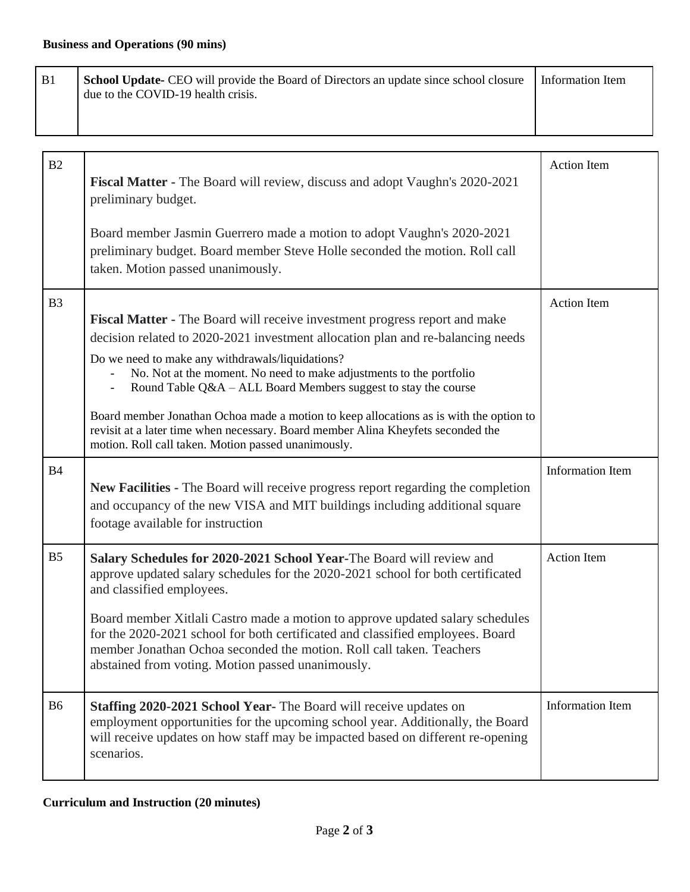| B1             | School Update- CEO will provide the Board of Directors an update since school closure<br>due to the COVID-19 health crisis.                                                                                                                                                                                                                                                                                                                                                                                                                                                                     | <b>Information Item</b> |
|----------------|-------------------------------------------------------------------------------------------------------------------------------------------------------------------------------------------------------------------------------------------------------------------------------------------------------------------------------------------------------------------------------------------------------------------------------------------------------------------------------------------------------------------------------------------------------------------------------------------------|-------------------------|
| B2             | <b>Fiscal Matter - The Board will review, discuss and adopt Vaughn's 2020-2021</b><br>preliminary budget.                                                                                                                                                                                                                                                                                                                                                                                                                                                                                       | <b>Action Item</b>      |
|                | Board member Jasmin Guerrero made a motion to adopt Vaughn's 2020-2021<br>preliminary budget. Board member Steve Holle seconded the motion. Roll call<br>taken. Motion passed unanimously.                                                                                                                                                                                                                                                                                                                                                                                                      |                         |
| B <sub>3</sub> | Fiscal Matter - The Board will receive investment progress report and make<br>decision related to 2020-2021 investment allocation plan and re-balancing needs<br>Do we need to make any withdrawals/liquidations?<br>No. Not at the moment. No need to make adjustments to the portfolio<br>Round Table Q&A - ALL Board Members suggest to stay the course<br>Board member Jonathan Ochoa made a motion to keep allocations as is with the option to<br>revisit at a later time when necessary. Board member Alina Kheyfets seconded the<br>motion. Roll call taken. Motion passed unanimously. | <b>Action Item</b>      |
| <b>B4</b>      | New Facilities - The Board will receive progress report regarding the completion<br>and occupancy of the new VISA and MIT buildings including additional square<br>footage available for instruction                                                                                                                                                                                                                                                                                                                                                                                            | Information Item        |
| B <sub>5</sub> | Salary Schedules for 2020-2021 School Year-The Board will review and<br>approve updated salary schedules for the 2020-2021 school for both certificated<br>and classified employees.<br>Board member Xitlali Castro made a motion to approve updated salary schedules<br>for the 2020-2021 school for both certificated and classified employees. Board<br>member Jonathan Ochoa seconded the motion. Roll call taken. Teachers<br>abstained from voting. Motion passed unanimously.                                                                                                            | <b>Action Item</b>      |
| <b>B6</b>      | Staffing 2020-2021 School Year- The Board will receive updates on<br>employment opportunities for the upcoming school year. Additionally, the Board<br>will receive updates on how staff may be impacted based on different re-opening<br>scenarios.                                                                                                                                                                                                                                                                                                                                            | <b>Information Item</b> |